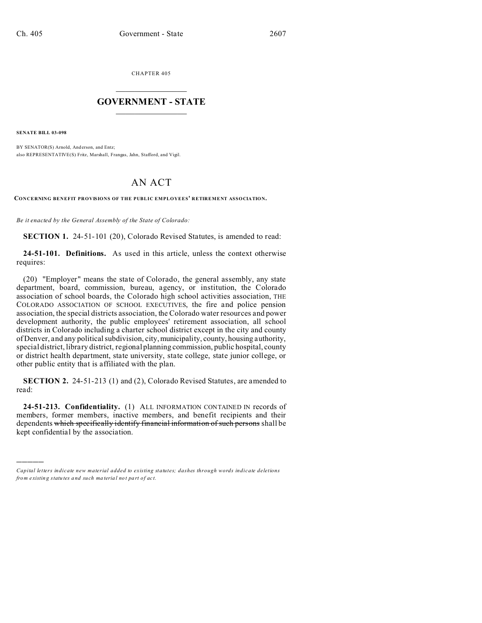CHAPTER 405  $\overline{\phantom{a}}$  , where  $\overline{\phantom{a}}$ 

## **GOVERNMENT - STATE**  $\_$   $\_$   $\_$   $\_$   $\_$   $\_$   $\_$   $\_$   $\_$

**SENATE BILL 03-098**

)))))

BY SENATOR(S) Arnold, And erson, and Entz; also REPRESENTATIVE(S) Fritz, Marshall, Frangas, Jahn, Stafford, and Vigil.

## AN ACT

**CONCERNING BENEFIT PROVISIONS OF THE PUBLIC EMPLOYEES' RETIREMENT ASSOCIATION.**

*Be it enacted by the General Assembly of the State of Colorado:*

**SECTION 1.** 24-51-101 (20), Colorado Revised Statutes, is amended to read:

**24-51-101. Definitions.** As used in this article, unless the context otherwise requires:

(20) "Employer" means the state of Colorado, the general assembly, any state department, board, commission, bureau, agency, or institution, the Colorado association of school boards, the Colorado high school activities association, THE COLORADO ASSOCIATION OF SCHOOL EXECUTIVES, the fire and police pension association, the special districts association, the Colorado water resources and power development authority, the public employees' retirement association, all school districts in Colorado including a charter school district except in the city and county of Denver, and any political subdivision, city,municipality, county, housing authority, special district, library district, regional planning commission, public hospital, county or district health department, state university, state college, state junior college, or other public entity that is affiliated with the plan.

**SECTION 2.** 24-51-213 (1) and (2), Colorado Revised Statutes, are amended to read:

**24-51-213. Confidentiality.** (1) ALL INFORMATION CONTAINED IN records of members, former members, inactive members, and benefit recipients and their dependents which specifically identify financial information of such persons shall be kept confidential by the association.

*Capital letters indicate new material added to existing statutes; dashes through words indicate deletions from e xistin g statu tes a nd such ma teria l no t pa rt of ac t.*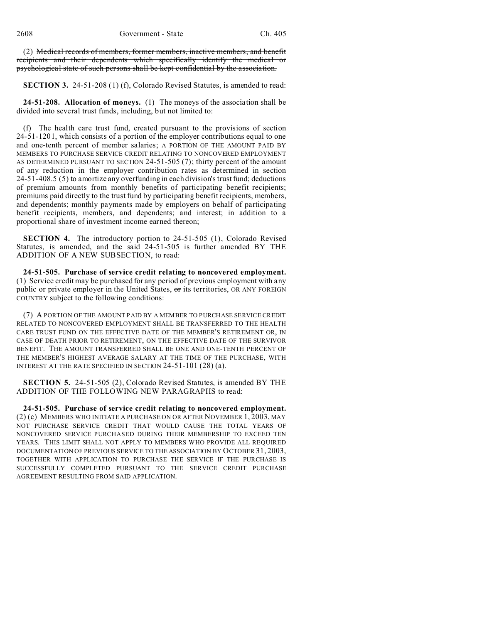(2) Medical records of members, former members, inactive members, and benefit recipients and their dependents which specifically identify the medical or psychological state of such persons shall be kept confidential by the association.

**SECTION 3.** 24-51-208 (1) (f), Colorado Revised Statutes, is amended to read:

**24-51-208. Allocation of moneys.** (1) The moneys of the association shall be divided into several trust funds, including, but not limited to:

(f) The health care trust fund, created pursuant to the provisions of section 24-51-1201, which consists of a portion of the employer contributions equal to one and one-tenth percent of member salaries; A PORTION OF THE AMOUNT PAID BY MEMBERS TO PURCHASE SERVICE CREDIT RELATING TO NONCOVERED EMPLOYMENT AS DETERMINED PURSUANT TO SECTION 24-51-505 (7); thirty percent of the amount of any reduction in the employer contribution rates as determined in section 24-51-408.5 (5) to amortize any overfunding in each division's trust fund; deductions of premium amounts from monthly benefits of participating benefit recipients; premiums paid directly to the trust fund by participating benefit recipients, members, and dependents; monthly payments made by employers on behalf of participating benefit recipients, members, and dependents; and interest; in addition to a proportional share of investment income earned thereon;

**SECTION 4.** The introductory portion to 24-51-505 (1), Colorado Revised Statutes, is amended, and the said 24-51-505 is further amended BY THE ADDITION OF A NEW SUBSECTION, to read:

**24-51-505. Purchase of service credit relating to noncovered employment.** (1) Service credit may be purchased for any period of previous employment with any public or private employer in the United States, or its territories, OR ANY FOREIGN COUNTRY subject to the following conditions:

(7) A PORTION OF THE AMOUNT PAID BY A MEMBER TO PURCHASE SERVICE CREDIT RELATED TO NONCOVERED EMPLOYMENT SHALL BE TRANSFERRED TO THE HEALTH CARE TRUST FUND ON THE EFFECTIVE DATE OF THE MEMBER'S RETIREMENT OR, IN CASE OF DEATH PRIOR TO RETIREMENT, ON THE EFFECTIVE DATE OF THE SURVIVOR BENEFIT. THE AMOUNT TRANSFERRED SHALL BE ONE AND ONE-TENTH PERCENT OF THE MEMBER'S HIGHEST AVERAGE SALARY AT THE TIME OF THE PURCHASE, WITH INTEREST AT THE RATE SPECIFIED IN SECTION 24-51-101 (28) (a).

**SECTION 5.** 24-51-505 (2), Colorado Revised Statutes, is amended BY THE ADDITION OF THE FOLLOWING NEW PARAGRAPHS to read:

**24-51-505. Purchase of service credit relating to noncovered employment.** (2) (c) MEMBERS WHO INITIATE A PURCHASE ON OR AFTER NOVEMBER 1, 2003, MAY NOT PURCHASE SERVICE CREDIT THAT WOULD CAUSE THE TOTAL YEARS OF NONCOVERED SERVICE PURCHASED DURING THEIR MEMBERSHIP TO EXCEED TEN YEARS. THIS LIMIT SHALL NOT APPLY TO MEMBERS WHO PROVIDE ALL REQUIRED DOCUMENTATION OF PREVIOUS SERVICE TO THE ASSOCIATION BY OCTOBER 31, 2003, TOGETHER WITH APPLICATION TO PURCHASE THE SERVICE IF THE PURCHASE IS SUCCESSFULLY COMPLETED PURSUANT TO THE SERVICE CREDIT PURCHASE AGREEMENT RESULTING FROM SAID APPLICATION.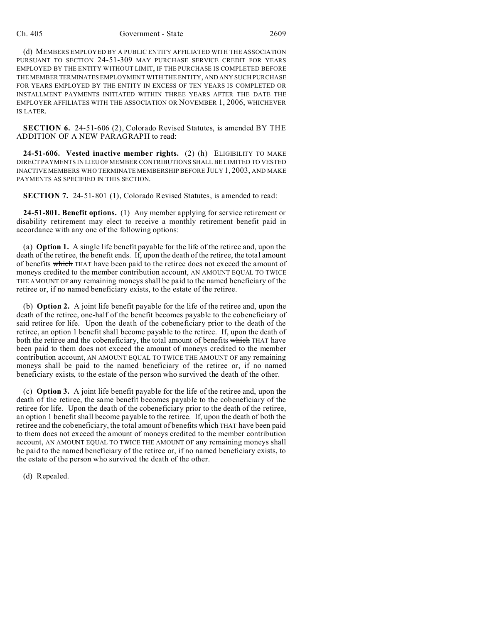## Ch. 405 Government - State 2609

(d) MEMBERS EMPLOYED BY A PUBLIC ENTITY AFFILIATED WITH THE ASSOCIATION PURSUANT TO SECTION 24-51-309 MAY PURCHASE SERVICE CREDIT FOR YEARS EMPLOYED BY THE ENTITY WITHOUT LIMIT, IF THE PURCHASE IS COMPLETED BEFORE THE MEMBER TERMINATES EMPLOYMENT WITH THE ENTITY, AND ANY SUCH PURCHASE FOR YEARS EMPLOYED BY THE ENTITY IN EXCESS OF TEN YEARS IS COMPLETED OR INSTALLMENT PAYMENTS INITIATED WITHIN THREE YEARS AFTER THE DATE THE EMPLOYER AFFILIATES WITH THE ASSOCIATION OR NOVEMBER 1, 2006, WHICHEVER IS LATER.

**SECTION 6.** 24-51-606 (2), Colorado Revised Statutes, is amended BY THE ADDITION OF A NEW PARAGRAPH to read:

**24-51-606. Vested inactive member rights.** (2) (h) ELIGIBILITY TO MAKE DIRECT PAYMENTS IN LIEU OF MEMBER CONTRIBUTIONS SHALL BE LIMITED TO VESTED INACTIVE MEMBERS WHO TERMINATE MEMBERSHIP BEFORE JULY 1, 2003, AND MAKE PAYMENTS AS SPECIFIED IN THIS SECTION.

**SECTION 7.** 24-51-801 (1), Colorado Revised Statutes, is amended to read:

**24-51-801. Benefit options.** (1) Any member applying for service retirement or disability retirement may elect to receive a monthly retirement benefit paid in accordance with any one of the following options:

(a) **Option 1.** A single life benefit payable for the life of the retiree and, upon the death of the retiree, the benefit ends. If, upon the death of the retiree, the total amount of benefits which THAT have been paid to the retiree does not exceed the amount of moneys credited to the member contribution account, AN AMOUNT EQUAL TO TWICE THE AMOUNT OF any remaining moneys shall be paid to the named beneficiary of the retiree or, if no named beneficiary exists, to the estate of the retiree.

(b) **Option 2.** A joint life benefit payable for the life of the retiree and, upon the death of the retiree, one-half of the benefit becomes payable to the cobeneficiary of said retiree for life. Upon the death of the cobeneficiary prior to the death of the retiree, an option 1 benefit shall become payable to the retiree. If, upon the death of both the retiree and the cobeneficiary, the total amount of benefits which THAT have been paid to them does not exceed the amount of moneys credited to the member contribution account, AN AMOUNT EQUAL TO TWICE THE AMOUNT OF any remaining moneys shall be paid to the named beneficiary of the retiree or, if no named beneficiary exists, to the estate of the person who survived the death of the other.

(c) **Option 3.** A joint life benefit payable for the life of the retiree and, upon the death of the retiree, the same benefit becomes payable to the cobeneficiary of the retiree for life. Upon the death of the cobeneficiary prior to the death of the retiree, an option 1 benefit shall become payable to the retiree. If, upon the death of both the retiree and the cobeneficiary, the total amount of benefits which THAT have been paid to them does not exceed the amount of moneys credited to the member contribution account, AN AMOUNT EQUAL TO TWICE THE AMOUNT OF any remaining moneys shall be paid to the named beneficiary of the retiree or, if no named beneficiary exists, to the estate of the person who survived the death of the other.

(d) Repealed.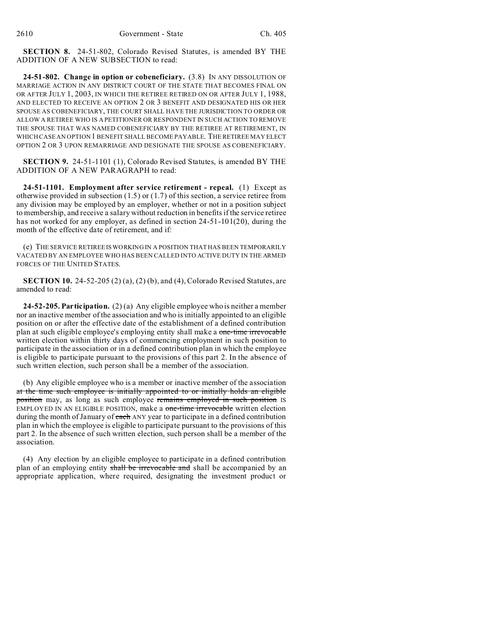**SECTION 8.** 24-51-802, Colorado Revised Statutes, is amended BY THE ADDITION OF A NEW SUBSECTION to read:

**24-51-802. Change in option or cobeneficiary.** (3.8) IN ANY DISSOLUTION OF MARRIAGE ACTION IN ANY DISTRICT COURT OF THE STATE THAT BECOMES FINAL ON OR AFTER JULY 1, 2003, IN WHICH THE RETIREE RETIRED ON OR AFTER JULY 1, 1988, AND ELECTED TO RECEIVE AN OPTION 2 OR 3 BENEFIT AND DESIGNATED HIS OR HER SPOUSE AS COBENEFICIARY, THE COURT SHALL HAVE THE JURISDICTION TO ORDER OR ALLOW A RETIREE WHO IS A PETITIONER OR RESPONDENT IN SUCH ACTION TO REMOVE THE SPOUSE THAT WAS NAMED COBENEFICIARY BY THE RETIREE AT RETIREMENT, IN WHICH CASE AN OPTION 1 BENEFIT SHALL BECOME PAYABLE. THE RETIREE MAY ELECT OPTION 2 OR 3 UPON REMARRIAGE AND DESIGNATE THE SPOUSE AS COBENEFICIARY.

**SECTION 9.** 24-51-1101 (1), Colorado Revised Statutes, is amended BY THE ADDITION OF A NEW PARAGRAPH to read:

**24-51-1101. Employment after service retirement - repeal.** (1) Except as otherwise provided in subsection (1.5) or (1.7) of this section, a service retiree from any division may be employed by an employer, whether or not in a position subject to membership, and receive a salary without reduction in benefits if the service retiree has not worked for any employer, as defined in section 24-51-101(20), during the month of the effective date of retirement, and if:

(e) THE SERVICE RETIREE IS WORKING IN A POSITION THAT HAS BEEN TEMPORARILY VACATED BY AN EMPLOYEE WHO HAS BEEN CALLED INTO ACTIVE DUTY IN THE ARMED FORCES OF THE UNITED STATES.

**SECTION 10.** 24-52-205 (2) (a), (2) (b), and (4), Colorado Revised Statutes, are amended to read:

**24-52-205. Participation.** (2) (a) Any eligible employee who is neither a member nor an inactive member of the association and who is initially appointed to an eligible position on or after the effective date of the establishment of a defined contribution plan at such eligible employee's employing entity shall make a one-time irrevocable written election within thirty days of commencing employment in such position to participate in the association or in a defined contribution plan in which the employee is eligible to participate pursuant to the provisions of this part 2. In the absence of such written election, such person shall be a member of the association.

(b) Any eligible employee who is a member or inactive member of the association at the time such employee is initially appointed to or initially holds an eligible position may, as long as such employee remains employed in such position IS EMPLOYED IN AN ELIGIBLE POSITION, make a one-time irrevocable written election during the month of January of each ANY year to participate in a defined contribution plan in which the employee is eligible to participate pursuant to the provisions of this part 2. In the absence of such written election, such person shall be a member of the association.

(4) Any election by an eligible employee to participate in a defined contribution plan of an employing entity shall be irrevocable and shall be accompanied by an appropriate application, where required, designating the investment product or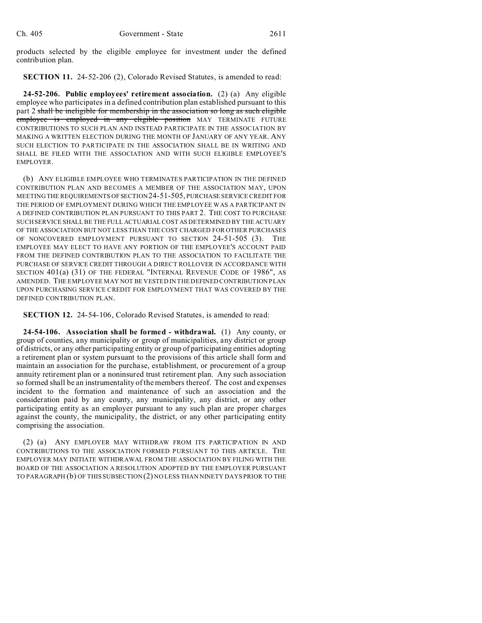products selected by the eligible employee for investment under the defined contribution plan.

**SECTION 11.** 24-52-206 (2), Colorado Revised Statutes, is amended to read:

**24-52-206. Public employees' retirement association.** (2) (a) Any eligible employee who participates in a defined contribution plan established pursuant to this part 2 shall be ineligible for membership in the association so long as such eligible employee is employed in any eligible position MAY TERMINATE FUTURE CONTRIBUTIONS TO SUCH PLAN AND INSTEAD PARTICIPATE IN THE ASSOCIATION BY MAKING A WRITTEN ELECTION DURING THE MONTH OF JANUARY OF ANY YEAR. ANY SUCH ELECTION TO PARTICIPATE IN THE ASSOCIATION SHALL BE IN WRITING AND SHALL BE FILED WITH THE ASSOCIATION AND WITH SUCH ELIGIBLE EMPLOYEE'S EMPLOYER.

(b) ANY ELIGIBLE EMPLOYEE WHO TERMINATES PARTICIPATION IN THE DEFINED CONTRIBUTION PLAN AND BECOMES A MEMBER OF THE ASSOCIATION MAY, UPON MEETING THE REQUIREMENTS OF SECTION 24-51-505, PURCHASE SERVICE CREDIT FOR THE PERIOD OF EMPLOYMENT DURING WHICH THE EMPLOYEE WAS A PARTICIPANT IN A DEFINED CONTRIBUTION PLAN PURSUANT TO THIS PART 2. THE COST TO PURCHASE SUCH SERVICE SHALL BE THE FULL ACTUARIAL COST AS DETERMINED BY THE ACTUARY OF THE ASSOCIATION BUT NOT LESS THAN THE COST CHARGED FOR OTHER PURCHASES OF NONCOVERED EMPLOYMENT PURSUANT TO SECTION 24-51-505 (3). THE EMPLOYEE MAY ELECT TO HAVE ANY PORTION OF THE EMPLOYEE'S ACCOUNT PAID FROM THE DEFINED CONTRIBUTION PLAN TO THE ASSOCIATION TO FACILITATE THE PURCHASE OF SERVICE CREDIT THROUGH A DIRECT ROLLOVER IN ACCORDANCE WITH SECTION 401(a) (31) OF THE FEDERAL "INTERNAL REVENUE CODE OF 1986", AS AMENDED. THE EMPLOYEE MAY NOT BE VESTED IN THE DEFINED CONTRIBUTION PLAN UPON PURCHASING SERVICE CREDIT FOR EMPLOYMENT THAT WAS COVERED BY THE DEFINED CONTRIBUTION PLAN.

**SECTION 12.** 24-54-106, Colorado Revised Statutes, is amended to read:

**24-54-106. Association shall be formed - withdrawal.** (1) Any county, or group of counties, any municipality or group of municipalities, any district or group of districts, or any other participating entity or group of participating entities adopting a retirement plan or system pursuant to the provisions of this article shall form and maintain an association for the purchase, establishment, or procurement of a group annuity retirement plan or a noninsured trust retirement plan. Any such association so formed shall be an instrumentality of the members thereof. The cost and expenses incident to the formation and maintenance of such an association and the consideration paid by any county, any municipality, any district, or any other participating entity as an employer pursuant to any such plan are proper charges against the county, the municipality, the district, or any other participating entity comprising the association.

(2) (a) ANY EMPLOYER MAY WITHDRAW FROM ITS PARTICIPATION IN AND CONTRIBUTIONS TO THE ASSOCIATION FORMED PURSUANT TO THIS ARTICLE. THE EMPLOYER MAY INITIATE WITHDRAWAL FROM THE ASSOCIATION BY FILING WITH THE BOARD OF THE ASSOCIATION A RESOLUTION ADOPTED BY THE EMPLOYER PURSUANT TO PARAGRAPH (b) OF THIS SUBSECTION(2) NO LESS THAN NINETY DAYS PRIOR TO THE